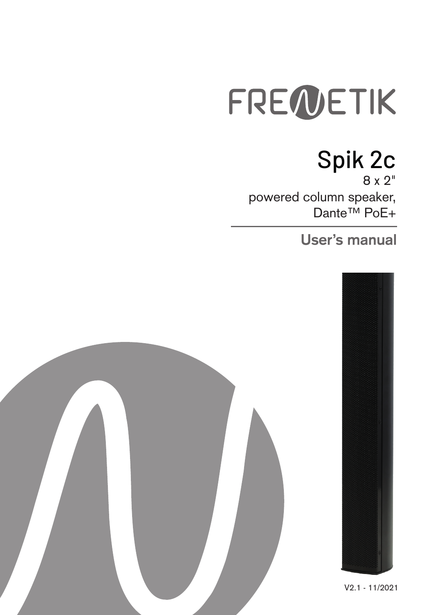# FRENETIK

# Spik 2c

 $8 \times 2"$ powered column speaker, Dante<sup>™</sup> PoE+

**User's manual**

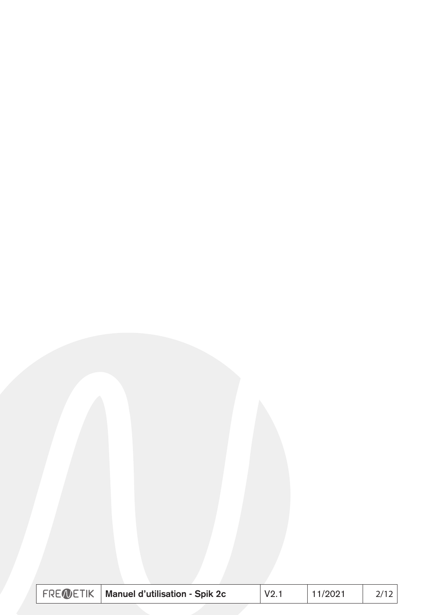| FREMETIK   Manuel d'utilisation - Spik 2c |  |  | V <sub>2.1</sub> | 11/2021 |  |
|-------------------------------------------|--|--|------------------|---------|--|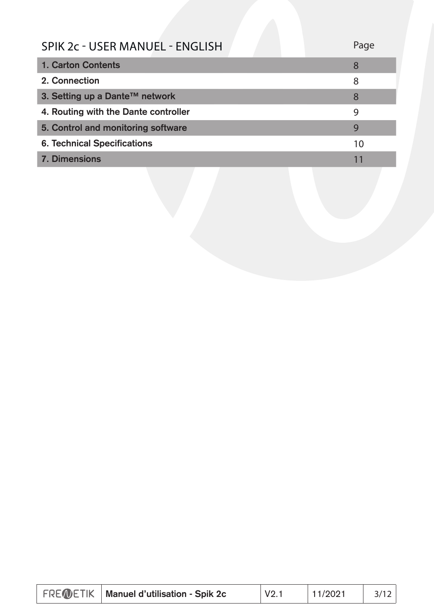| SPIK 2c - USER MANUEL - ENGLISH      | Page |
|--------------------------------------|------|
| 1. Carton Contents                   | 8    |
| 2. Connection                        | 8    |
| 3. Setting up a Dante™ network       | 8    |
| 4. Routing with the Dante controller | 9    |
| 5. Control and monitoring software   | 9    |
| 6. Technical Specifications          | 10   |
| <b>7. Dimensions</b>                 | 11   |

|  | FRENETIK   Manuel d'utilisation - Spik 2c | V <sub>2.1</sub> | 11/2021 | 3/12 |
|--|-------------------------------------------|------------------|---------|------|
|--|-------------------------------------------|------------------|---------|------|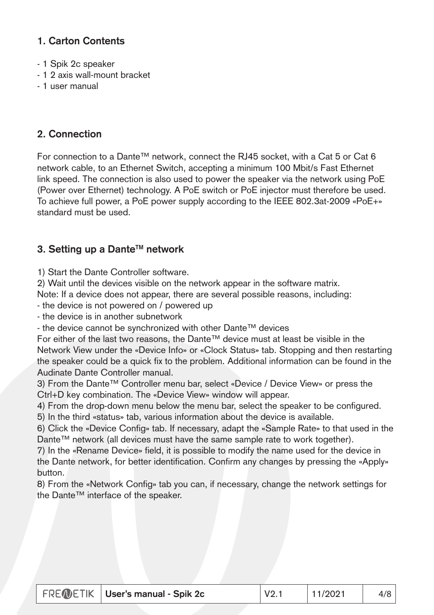#### **1. Carton Contents**

- 1 Spik 2c speaker
- 1 2 axis wall-mount bracket
- 1 user manual

#### **2. Connection**

For connection to a Dante™ network, connect the RJ45 socket, with a Cat 5 or Cat 6 network cable, to an Ethernet Switch, accepting a minimum 100 Mbit/s Fast Ethernet link speed. The connection is also used to power the speaker via the network using PoE (Power over Ethernet) technology. A PoE switch or PoE injector must therefore be used. To achieve full power, a PoE power supply according to the IEEE 802.3at-2009 «PoE+» standard must be used.

#### **3. Setting up a DanteTM network**

1) Start the Dante Controller software.

2) Wait until the devices visible on the network appear in the software matrix.

Note: If a device does not appear, there are several possible reasons, including:

- the device is not powered on / powered up

- the device is in another subnetwork

- the device cannot be synchronized with other Dante™ devices

For either of the last two reasons, the Dante™ device must at least be visible in the Network View under the «Device Info» or «Clock Status» tab. Stopping and then restarting the speaker could be a quick fix to the problem. Additional information can be found in the Audinate Dante Controller manual.

3) From the Dante™ Controller menu bar, select «Device / Device View» or press the Ctrl+D key combination. The «Device View» window will appear.

4) From the drop-down menu below the menu bar, select the speaker to be configured. 5) In the third «status» tab, various information about the device is available.

6) Click the «Device Config» tab. If necessary, adapt the «Sample Rate» to that used in the Dante™ network (all devices must have the same sample rate to work together).

7) In the «Rename Device» field, it is possible to modify the name used for the device in the Dante network, for better identification. Confirm any changes by pressing the «Apply» button.

8) From the «Network Config» tab you can, if necessary, change the network settings for the Dante™ interface of the speaker.

| FREMETIK   User's manual - Spik 2c | V <sub>2.1</sub> | 11/2021 | 4/8 |
|------------------------------------|------------------|---------|-----|
|------------------------------------|------------------|---------|-----|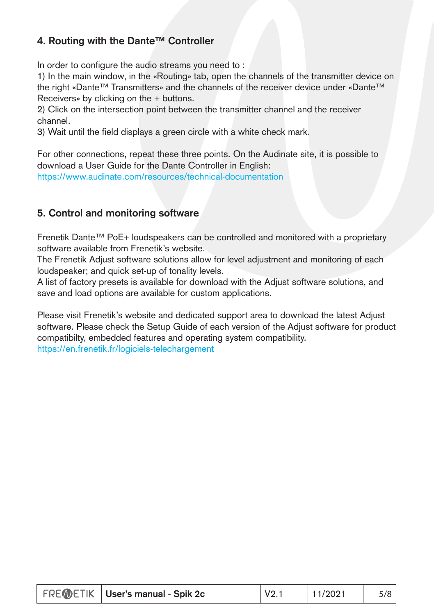#### **4. Routing with the Dante™ Controller**

In order to configure the audio streams you need to :

1) In the main window, in the «Routing» tab, open the channels of the transmitter device on the right «Dante™ Transmitters» and the channels of the receiver device under «Dante™ Receivers» by clicking on the + buttons.

2) Click on the intersection point between the transmitter channel and the receiver channel.

3) Wait until the field displays a green circle with a white check mark.

For other connections, repeat these three points. On the Audinate site, it is possible to download a User Guide for the Dante Controller in English: https://www.audinate.com/resources/technical-documentation

#### **5. Control and monitoring software**

Frenetik Dante™ PoE+ loudspeakers can be controlled and monitored with a proprietary software available from Frenetik's website.

The Frenetik Adjust software solutions allow for level adjustment and monitoring of each loudspeaker; and quick set-up of tonality levels.

A list of factory presets is available for download with the Adjust software solutions, and save and load options are available for custom applications.

Please visit Frenetik's website and dedicated support area to download the latest Adjust software. Please check the Setup Guide of each version of the Adjust software for product compatibilty, embedded features and operating system compatibility. https://en.frenetik.fr/logiciels-telechargement

|  | FREWETIK   User's manual - Spik 2c | V2.1 | 11/2021 | 5/8 |
|--|------------------------------------|------|---------|-----|
|--|------------------------------------|------|---------|-----|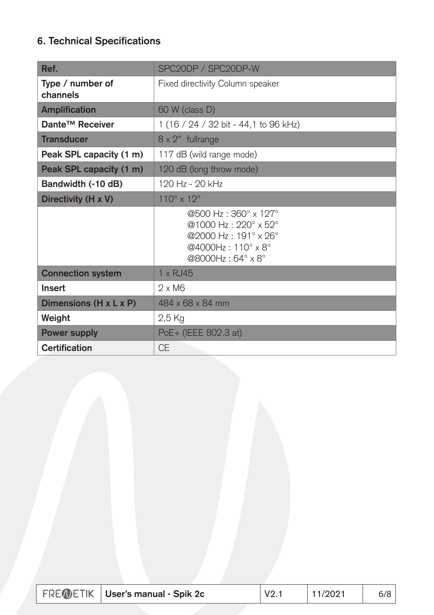## **6. Technical Specifications**

| Ref.                         | SPC20DP / SPC20DP-W                                                                                                                                     |
|------------------------------|---------------------------------------------------------------------------------------------------------------------------------------------------------|
| Type / number of<br>channels | Fixed directivity Column speaker                                                                                                                        |
| <b>Amplification</b>         | 60 W (class D)                                                                                                                                          |
| Dante™ Receiver              | 1 (16 / 24 / 32 bit - 44,1 to 96 kHz)                                                                                                                   |
| <b>Transducer</b>            | $8 \times 2$ " fullrange                                                                                                                                |
| Peak SPL capacity (1 m)      | 117 dB (wild range mode)                                                                                                                                |
| Peak SPL capacity (1 m)      | 120 dB (long throw mode)                                                                                                                                |
| Bandwidth (-10 dB)           | 120 Hz - 20 kHz                                                                                                                                         |
| Directivity (H x V)          | $110^\circ \times 12^\circ$                                                                                                                             |
|                              | @500 Hz: 360° x 127°<br>@1000 Hz: $220^{\circ}$ x 52 $^{\circ}$<br>@2000 Hz: 191° x 26°<br>@4000Hz: $110^{\circ} \times 8^{\circ}$<br>@8000Hz: 64° x 8° |
| <b>Connection system</b>     | $1 \times RJ45$                                                                                                                                         |
| Insert                       | $2 \times M6$                                                                                                                                           |
| Dimensions (H x L x P)       | $484 \times 68 \times 84$ mm                                                                                                                            |
| Weight                       | $2,5$ Kg                                                                                                                                                |
| <b>Power supply</b>          | PoE+ (IEEE 802.3 at)                                                                                                                                    |
| Certification                | <b>CE</b>                                                                                                                                               |

|  | FREWETIK   User's manual - Spik 2c | $\sqrt{2.1}$ | 11/2021 | 6/8 |
|--|------------------------------------|--------------|---------|-----|
|--|------------------------------------|--------------|---------|-----|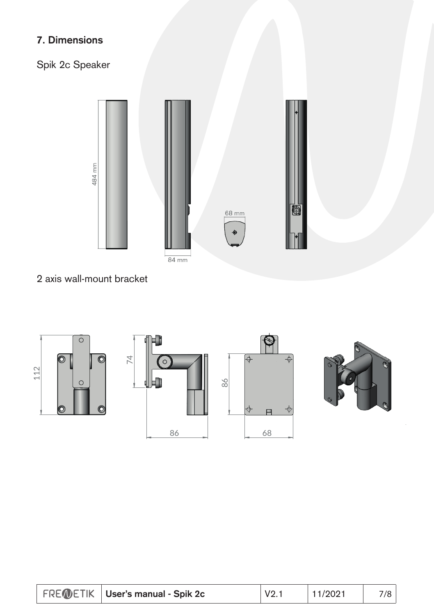### **7. Dimensions**

Spik 2c Speaker



2 axis wall-mount bracket



|  | FREWETIK   User's manual - Spik 2c | V2.1 | 11/2021 | 7/8 |
|--|------------------------------------|------|---------|-----|
|--|------------------------------------|------|---------|-----|